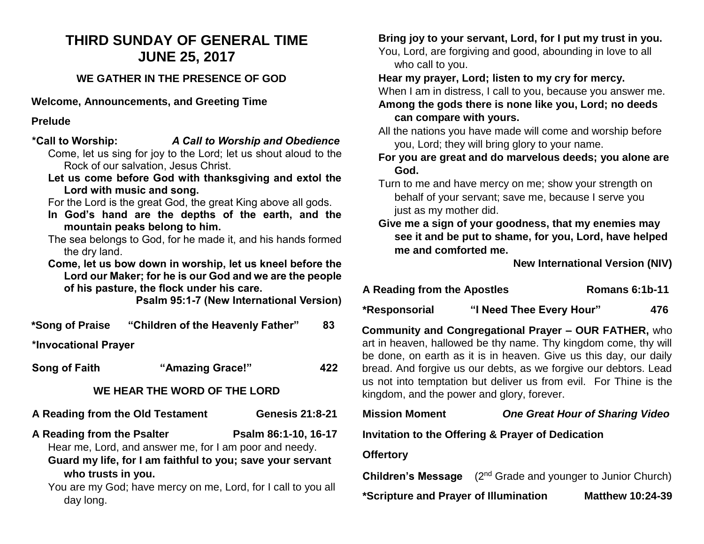# **THIRD SUNDAY OF GENERAL TIME JUNE 25, 2017**

## **WE GATHER IN THE PRESENCE OF GOD**

**Welcome, Announcements, and Greeting Time**

#### **Prelude**

|                                                                  | *Call to Worship: A Call to Worship and Obedience             |                        |     |  |  |
|------------------------------------------------------------------|---------------------------------------------------------------|------------------------|-----|--|--|
| Come, let us sing for joy to the Lord; let us shout aloud to the |                                                               |                        |     |  |  |
| Rock of our salvation, Jesus Christ.                             |                                                               |                        |     |  |  |
| Let us come before God with thanksgiving and extol the           |                                                               |                        |     |  |  |
| Lord with music and song.                                        |                                                               |                        |     |  |  |
| For the Lord is the great God, the great King above all gods.    |                                                               |                        |     |  |  |
| In God's hand are the depths of the earth, and the               |                                                               |                        |     |  |  |
|                                                                  | mountain peaks belong to him.                                 |                        |     |  |  |
| The sea belongs to God, for he made it, and his hands formed     |                                                               |                        |     |  |  |
| the dry land.                                                    |                                                               |                        |     |  |  |
|                                                                  |                                                               |                        |     |  |  |
|                                                                  | Come, let us bow down in worship, let us kneel before the     |                        |     |  |  |
|                                                                  | Lord our Maker; for he is our God and we are the people       |                        |     |  |  |
|                                                                  | of his pasture, the flock under his care.                     |                        |     |  |  |
|                                                                  | <b>Psalm 95:1-7 (New International Version)</b>               |                        |     |  |  |
|                                                                  |                                                               |                        | 83  |  |  |
|                                                                  |                                                               |                        |     |  |  |
| *Invocational Prayer                                             |                                                               |                        |     |  |  |
| <b>Song of Faith</b>                                             | "Amazing Grace!"                                              |                        | 422 |  |  |
|                                                                  |                                                               |                        |     |  |  |
|                                                                  | WE HEAR THE WORD OF THE LORD                                  |                        |     |  |  |
| A Reading from the Old Testament                                 |                                                               | <b>Genesis 21:8-21</b> |     |  |  |
| A Reading from the Psalter                                       |                                                               | Psalm 86:1-10, 16-17   |     |  |  |
|                                                                  | Hear me, Lord, and answer me, for I am poor and needy.        |                        |     |  |  |
|                                                                  | Guard my life, for I am faithful to you; save your servant    |                        |     |  |  |
|                                                                  |                                                               |                        |     |  |  |
| who trusts in you.                                               |                                                               |                        |     |  |  |
| day long.                                                        | You are my God; have mercy on me, Lord, for I call to you all |                        |     |  |  |
|                                                                  |                                                               |                        |     |  |  |

**Bring joy to your servant, Lord, for I put my trust in you.**

You, Lord, are forgiving and good, abounding in love to all who call to you.

**Hear my prayer, Lord; listen to my cry for mercy.**

When I am in distress, I call to you, because you answer me.

#### **Among the gods there is none like you, Lord; no deeds can compare with yours.**

All the nations you have made will come and worship before you, Lord; they will bring glory to your name.

**For you are great and do marvelous deeds; you alone are God.**

Turn to me and have mercy on me; show your strength on behalf of your servant; save me, because I serve you just as my mother did.

**Give me a sign of your goodness, that my enemies may see it and be put to shame, for you, Lord, have helped me and comforted me.**

**New International Version (NIV)**

# **A Reading from the Apostles Romans 6:1b-11**

**\*Responsorial "I Need Thee Every Hour" 476** 

**Community and Congregational Prayer – OUR FATHER,** who art in heaven, hallowed be thy name. Thy kingdom come, thy will be done, on earth as it is in heaven. Give us this day, our daily bread. And forgive us our debts, as we forgive our debtors. Lead us not into temptation but deliver us from evil. For Thine is the kingdom, and the power and glory, forever.

| <b>Mission Moment</b>                             | <b>One Great Hour of Sharing Video</b>                                  |                         |  |  |  |
|---------------------------------------------------|-------------------------------------------------------------------------|-------------------------|--|--|--|
| Invitation to the Offering & Prayer of Dedication |                                                                         |                         |  |  |  |
| <b>Offertory</b>                                  |                                                                         |                         |  |  |  |
|                                                   | <b>Children's Message</b> $(2^{nd}$ Grade and younger to Junior Church) |                         |  |  |  |
| *Scripture and Prayer of Illumination             |                                                                         | <b>Matthew 10:24-39</b> |  |  |  |